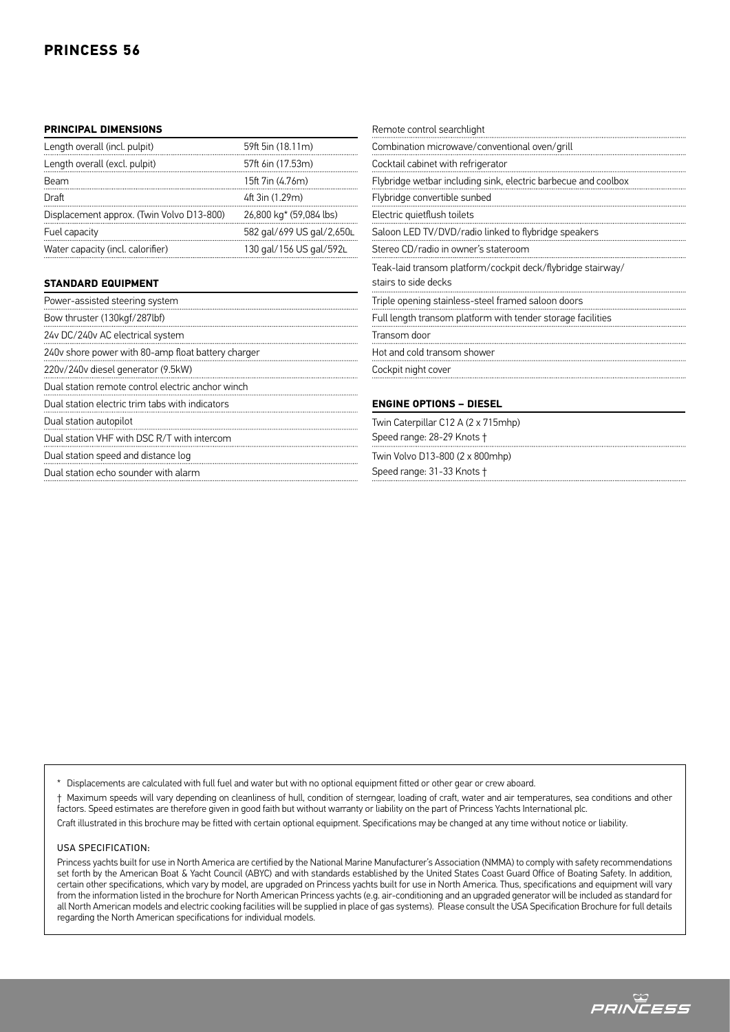## **PRINCIPAL DIMENSIONS**

| Length overall (incl. pulpit)             | 59ft 5in (18.11m)         |
|-------------------------------------------|---------------------------|
| Length overall (excl. pulpit)             | 57ft 6in (17.53m)         |
| Beam                                      | 15ft 7in (4.76m)          |
| Draft                                     | 4ft 3in (1.29m)           |
| Displacement approx. (Twin Volvo D13-800) | 26,800 kg* (59,084 lbs)   |
| Fuel capacity                             | 582 gal/699 US gal/2,650L |
| Water capacity (incl. calorifier)         | 130 gal/156 US gal/592L   |

## **STANDARD EQUIPMENT**

| Power-assisted steering system                     |
|----------------------------------------------------|
| Bow thruster (130kgf/287lbf)                       |
| 24v DC/240v AC electrical system                   |
| 240v shore power with 80-amp float battery charger |
| 220v/240v diesel generator (9.5kW)                 |
| Dual station remote control electric anchor winch  |
| Dual station electric trim tabs with indicators    |
| Dual station autopilot                             |
| Dual station VHF with DSC R/T with intercom        |
| Dual station speed and distance log                |
| Dual station echo sounder with alarm               |

| Remote control searchlight                                              |
|-------------------------------------------------------------------------|
| Combination microwave/conventional oven/grill                           |
| Cocktail cabinet with refrigerator                                      |
| Flybridge wetbar including sink, electric barbecue and coolbox<br>.<br> |
| Flybridge convertible sunbed                                            |
| Electric quietflush toilets                                             |
| Saloon LED TV/DVD/radio linked to flybridge speakers                    |
| Stereo CD/radio in owner's stateroom                                    |
| Teak-laid transom platform/cockpit deck/flybridge stairway/             |
| stairs to side decks                                                    |
| Triple opening stainless-steel framed saloon doors                      |
| Full length transom platform with tender storage facilities             |
| Transom door                                                            |
| Hot and cold transom shower                                             |
| Cockpit night cover                                                     |

Speed range: 28-29 Knots †

Twin Volvo D13-800 (2 x 800mhp) Speed range: 31-33 Knots †

Displacements are calculated with full fuel and water but with no optional equipment fitted or other gear or crew aboard.

† Maximum speeds will vary depending on cleanliness of hull, condition of sterngear, loading of craft, water and air temperatures, sea conditions and other factors. Speed estimates are therefore given in good faith but without warranty or liability on the part of Princess Yachts International plc.

Craft illustrated in this brochure may be fitted with certain optional equipment. Specifications may be changed at any time without notice or liability.

## USA Specification:

Princess yachts built for use in North America are certified by the National Marine Manufacturer's Association (NMMA) to comply with safety recommendations set forth by the American Boat & Yacht Council (ABYC) and with standards established by the United States Coast Guard Office of Boating Safety. In addition, certain other specifications, which vary by model, are upgraded on Princess yachts built for use in North America. Thus, specifications and equipment will vary from the information listed in the brochure for North American Princess yachts (e.g. air-conditioning and an upgraded generator will be included as standard for all North American models and electric cooking facilities will be supplied in place of gas systems). Please consult the USA Specification Brochure for full details regarding the North American specifications for individual models.

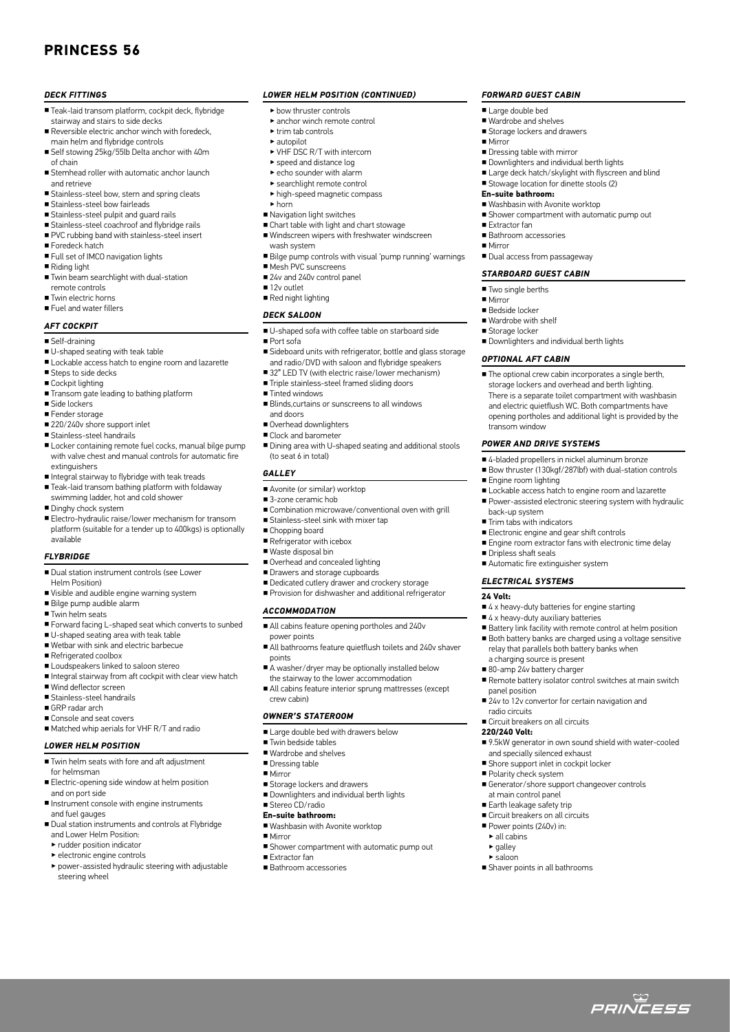## **PRINCESS 56**

#### *DECK FITTINGS*

- Teak-laid transom platform, cockpit deck, flybridge stairway and stairs to side decks
- Reversible electric anchor winch with foredeck. main helm and flybridge controls
- Self stowing 25kg/55lb Delta anchor with 40m of chain
- Stemhead roller with automatic anchor launch and retrieve
- Stainless-steel bow, stern and spring cleats
- Stainless-steel bow fairleads
- Stainless-steel pulpit and guard rails
- Stainless-steel coachroof and flybridge rails
- PVC rubbing band with stainless-steel insert
- Foredeck hatch
- Full set of IMCO navigation lights
- Riding light
- Twin beam searchlight with dual-station remote controls
- Twin electric horns
- Fuel and water fillers

## *AFT COCKPIT*

- Self-draining
- U-shaped seating with teak table
- Lockable access hatch to engine room and lazarette
- Steps to side decks
- Cockpit lighting
- Transom gate leading to bathing platform
- Side lockers
- Fender storage
- 220/240v shore support inlet
- Stainless-steel handrails
- Locker containing remote fuel cocks, manual bilge pump with valve chest and manual controls for automatic fire extinguishers
- Integral stairway to flybridge with teak treads
- Teak-laid transom bathing platform with foldaway swimming ladder, hot and cold shower
- Dinghy chock system
- Electro-hydraulic raise/lower mechanism for transom platform (suitable for a tender up to 400kgs) is optionally available

#### *FLYBRIDGE*

- Dual station instrument controls (see Lower Helm Position)
- Visible and audible engine warning system
- Bilge pump audible alarm
- Twin helm seats
- Forward facing L-shaped seat which converts to sunbed
- U-shaped seating area with teak table
- Wetbar with sink and electric barbecue
- Refrigerated coolbox
- Loudspeakers linked to saloon stereo
- Integral stairway from aft cockpit with clear view hatch
- Wind deflector screen
- Stainless-steel handrails
- GRP radar arch
- Console and seat covers ■ Matched whip aerials for VHF R/T and radio
- *LOWER HELM POSITION*
- Twin helm seats with fore and aft adjustment
- for helmsman
- Electric-opening side window at helm position and on port side
- Instrument console with engine instruments and fuel gauges
- Dual station instruments and controls at Flybridge and Lower Helm Position:
- ‣ rudder position indicator
- ‣ electronic engine controls
- ‣ power-assisted hydraulic steering with adjustable steering wheel

#### *LOWER HELM POSITION (continued)*

*FORWARD GUEST CABIN* ■ Large double bed ■ Wardrobe and shelves ■ Storage lockers and drawers

■ Dressing table with mirror

**En-suite bathroom:**

■ Extractor fan ■ Bathroom accessories

■ Two single berths ■ Mirror ■ Bedside locker ■ Wardrobe with shelf ■ Storage locker

*OPTIONAL AFT CABIN*

transom window

■ Engine room lighting

back-up system ■ Trim tabs with indicators

■ Dripless shaft seals

**24 Volt:**

*POWER AND DRIVE SYSTEMS*

■ Mirror

■ Downlighters and individual berth lights ■ Large deck hatch/skylight with flyscreen and blind ■ Stowage location for dinette stools (2)

■ Shower compartment with automatic pump out

■ Washbasin with Avonite workton

■ Dual access from passageway *STARBOARD GUEST CABIN*

■ Downlighters and individual berth lights

■ The optional crew cabin incorporates a single berth, storage lockers and overhead and berth lighting. There is a separate toilet compartment with washbasin and electric quietflush WC. Both compartments have opening portholes and additional light is provided by the

■ 4-bladed propellers in nickel aluminum bronze ■ Bow thruster (130kgf/287lbf) with dual-station controls

■ Electronic engine and gear shift controls

■ 4 x heavy-duty batteries for engine starting ■ 4 x heavy-duty auxiliary batteries

■ Automatic fire extinguisher system *ELECTRICAL SYSTEMS*

a charging source is present ■ 80-amp 24v battery charger

■ Circuit breakers on all circuits

and specially silenced exhaust ■ Shore support inlet in cockpit locker

■ Polarity check system

at main control panel ■ Earth leakage safety trip ■ Circuit breakers on all circuits ■ Power points (240v) in:  $\blacktriangleright$  all cabins  $\blacktriangleright$  galley  $\blacktriangleright$  saloon

■ Shaver points in all bathrooms

panel position

radio circuits

**220/240 Volt:**

Lockable access hatch to engine room and lazarette ■ Power-assisted electronic steering system with hydraulic

■ Engine room extractor fans with electronic time delay

■ Battery link facility with remote control at helm position ■ Both battery banks are charged using a voltage sensitive relay that parallels both battery banks when

■ Remote battery isolator control switches at main switch

■ 9.5kW generator in own sound shield with water-cooled

ت<br>*PRINCESS* 

■ 24v to 12v convertor for certain navigation and

■ Generator/shore support changeover controls

■ Mirror

- ‣ bow thruster controls
- ‣ anchor winch remote control
- ‣ trim tab controls
- ‣ autopilot
- ‣ VHF DSC R/T with intercom
- ‣ speed and distance log
- $\blacktriangleright$  echo sounder with alarm
- ‣ searchlight remote control
- ‣ high-speed magnetic compass
- ‣ horn
- Navigation light switches
- Chart table with light and chart stowage
- Windscreen wipers with freshwater windscreen
- wash system
- Bilge pump controls with visual 'pump running' warnings
- Mesh PVC sunscreens
- 24v and 240v control panel
- 12v outlet
- Red night lighting

### *DECK SALOON*

- U-shaped sofa with coffee table on starboard side
- Port sofa
- Sideboard units with refrigerator, bottle and glass storage and radio/DVD with saloon and flybridge speakers
- 32" LED TV (with electric raise/lower mechanism)
- Triple stainless-steel framed sliding doors
- Tinted windows
- Blinds,curtains or sunscreens to all windows and doors
- Overhead downlighters
- Clock and barometer
- Dining area with U-shaped seating and additional stools (to seat 6 in total)

#### *GALLEY*

- Avonite (or similar) worktop
- 3-zone ceramic hob
- Combination microwave/conventional oven with grill
- Stainless-steel sink with mixer tap
- Chopping board
- Refrigerator with icebox
- Waste disposal bin
- Overhead and concealed lighting
- Drawers and storage cupboards
- Dedicated cutlery drawer and crockery storage ■ Provision for dishwasher and additional refrigerator

■ All bathrooms feature quietflush toilets and 240v shaver

■ A washer/dryer may be optionally installed below the stairway to the lower accommodation ■ All cabins feature interior sprung mattresses (except

■ All cabins feature opening portholes and 240v

#### *ACCOMMODATION*

power points

crew cabin)

*OWNER'S STATEROOM*

■ Storage lockers and drawers ■ Downlighters and individual berth lights

■ Washbasin with Avonite worktop

■ Shower compartment with automatic pump out

■ Twin bedside tables ■ Wardrobe and shelves ■ Dressing table ■ Mirror

■ Stereo CD/radio **En-suite bathroom:**

■ Extractor fan ■ Bathroom accessories

■ Mirror

■ Large double bed with drawers below

points